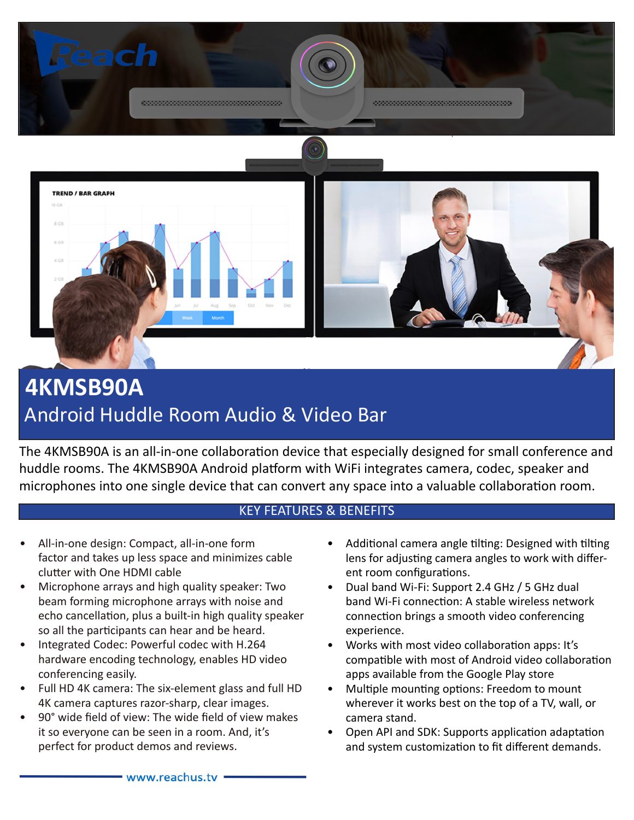

# **4KMSB90A** Android Huddle Room Audio & Video Bar

The 4KMSB90A is an all-in-one collaboration device that especially designed for small conference and huddle rooms. The 4KMSB90A Android platform with WiFi integrates camera, codec, speaker and microphones into one single device that can convert any space into a valuable collaboration room.

#### KEY FEATURES & BENEFITS

- All-in-one design: Compact, all-in-one form factor and takes up less space and minimizes cable clutter with One HDMI cable
- Microphone arrays and high quality speaker: Two beam forming microphone arrays with noise and echo cancellation, plus a built-in high quality speaker so all the participants can hear and be heard.
- Integrated Codec: Powerful codec with H.264 hardware encoding technology, enables HD video conferencing easily.
- Full HD 4K camera: The six-element glass and full HD 4K camera captures razor-sharp, clear images.
- 90° wide field of view: The wide field of view makes it so everyone can be seen in a room. And, it's perfect for product demos and reviews.
- Additional camera angle tilting: Designed with tilting lens for adjusting camera angles to work with different room configurations.
- Dual band Wi-Fi: Support 2.4 GHz / 5 GHz dual band Wi-Fi connection: A stable wireless network connection brings a smooth video conferencing experience.
- Works with most video collaboration apps: It's compatible with most of Android video collaboration apps available from the Google Play store
- Multiple mounting options: Freedom to mount wherever it works best on the top of a TV, wall, or camera stand.
- Open API and SDK: Supports application adaptation and system customization to fit different demands.